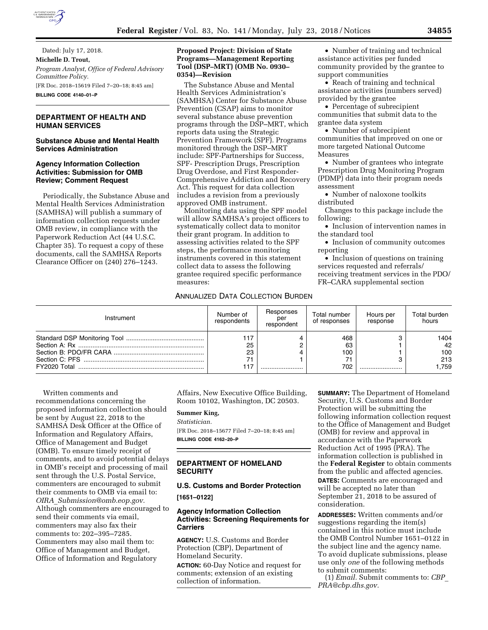

Dated: July 17, 2018. **Michelle D. Trout,**  *Program Analyst, Office of Federal Advisory Committee Policy.*  [FR Doc. 2018–15619 Filed 7–20–18; 8:45 am] **BILLING CODE 4140–01–P** 

# **DEPARTMENT OF HEALTH AND HUMAN SERVICES**

## **Substance Abuse and Mental Health Services Administration**

### **Agency Information Collection Activities: Submission for OMB Review; Comment Request**

Periodically, the Substance Abuse and Mental Health Services Administration (SAMHSA) will publish a summary of information collection requests under OMB review, in compliance with the Paperwork Reduction Act (44 U.S.C. Chapter 35). To request a copy of these documents, call the SAMHSA Reports Clearance Officer on (240) 276–1243.

### **Proposed Project: Division of State Programs—Management Reporting Tool (DSP–MRT) (OMB No. 0930– 0354)—Revision**

The Substance Abuse and Mental Health Services Administration's (SAMHSA) Center for Substance Abuse Prevention (CSAP) aims to monitor several substance abuse prevention programs through the DSP–MRT, which reports data using the Strategic Prevention Framework (SPF). Programs monitored through the DSP–MRT include: SPF-Partnerships for Success, SPF- Prescription Drugs, Prescription Drug Overdose, and First Responder-Comprehensive Addiction and Recovery Act. This request for data collection includes a revision from a previously approved OMB instrument.

Monitoring data using the SPF model will allow SAMHSA's project officers to systematically collect data to monitor their grant program. In addition to assessing activities related to the SPF steps, the performance monitoring instruments covered in this statement collect data to assess the following grantee required specific performance measures:

• Number of training and technical assistance activities per funded community provided by the grantee to support communities

• Reach of training and technical assistance activities (numbers served) provided by the grantee

• Percentage of subrecipient communities that submit data to the grantee data system

• Number of subrecipient communities that improved on one or more targeted National Outcome Measures

• Number of grantees who integrate Prescription Drug Monitoring Program (PDMP) data into their program needs assessment

• Number of naloxone toolkits distributed

Changes to this package include the following:

• Inclusion of intervention names in the standard tool

• Inclusion of community outcomes reporting

• Inclusion of questions on training services requested and referrals/ receiving treatment services in the PDO/ FR–CARA supplemental section

## ANNUALIZED DATA COLLECTION BURDEN

| Instrument | Number of<br>respondents     | Responses<br>per<br>respondent | Total number<br>of responses  | Hours per<br>response | Total burden<br>hours            |
|------------|------------------------------|--------------------------------|-------------------------------|-----------------------|----------------------------------|
|            | 117<br>25<br>23<br>71<br>117 |                                | 468<br>63<br>100<br>71<br>702 |                       | 1404<br>42<br>100<br>213<br>.759 |

Written comments and recommendations concerning the proposed information collection should be sent by August 22, 2018 to the SAMHSA Desk Officer at the Office of Information and Regulatory Affairs, Office of Management and Budget (OMB). To ensure timely receipt of comments, and to avoid potential delays in OMB's receipt and processing of mail sent through the U.S. Postal Service, commenters are encouraged to submit their comments to OMB via email to: *OIRA*\_*[Submission@omb.eop.gov.](mailto:OIRA_Submission@omb.eop.gov)*  Although commenters are encouraged to send their comments via email, commenters may also fax their comments to: 202–395–7285. Commenters may also mail them to: Office of Management and Budget, Office of Information and Regulatory

Affairs, New Executive Office Building, Room 10102, Washington, DC 20503.

#### **Summer King,**

*Statistician.* 

[FR Doc. 2018–15677 Filed 7–20–18; 8:45 am] **BILLING CODE 4162–20–P** 

## **DEPARTMENT OF HOMELAND SECURITY**

## **U.S. Customs and Border Protection**

**[1651–0122]** 

## **Agency Information Collection Activities: Screening Requirements for Carriers**

**AGENCY:** U.S. Customs and Border Protection (CBP), Department of Homeland Security.

**ACTION:** 60-Day Notice and request for comments; extension of an existing collection of information.

**SUMMARY:** The Department of Homeland Security, U.S. Customs and Border Protection will be submitting the following information collection request to the Office of Management and Budget (OMB) for review and approval in accordance with the Paperwork Reduction Act of 1995 (PRA). The information collection is published in the **Federal Register** to obtain comments from the public and affected agencies. **DATES:** Comments are encouraged and will be accepted no later than September 21, 2018 to be assured of consideration.

**ADDRESSES:** Written comments and/or suggestions regarding the item(s) contained in this notice must include the OMB Control Number 1651–0122 in the subject line and the agency name. To avoid duplicate submissions, please use only *one* of the following methods to submit comments:

(1) *Email.* Submit comments to: *[CBP](mailto:CBP_PRA@cbp.dhs.gov)*\_ *[PRA@cbp.dhs.gov.](mailto:CBP_PRA@cbp.dhs.gov)*